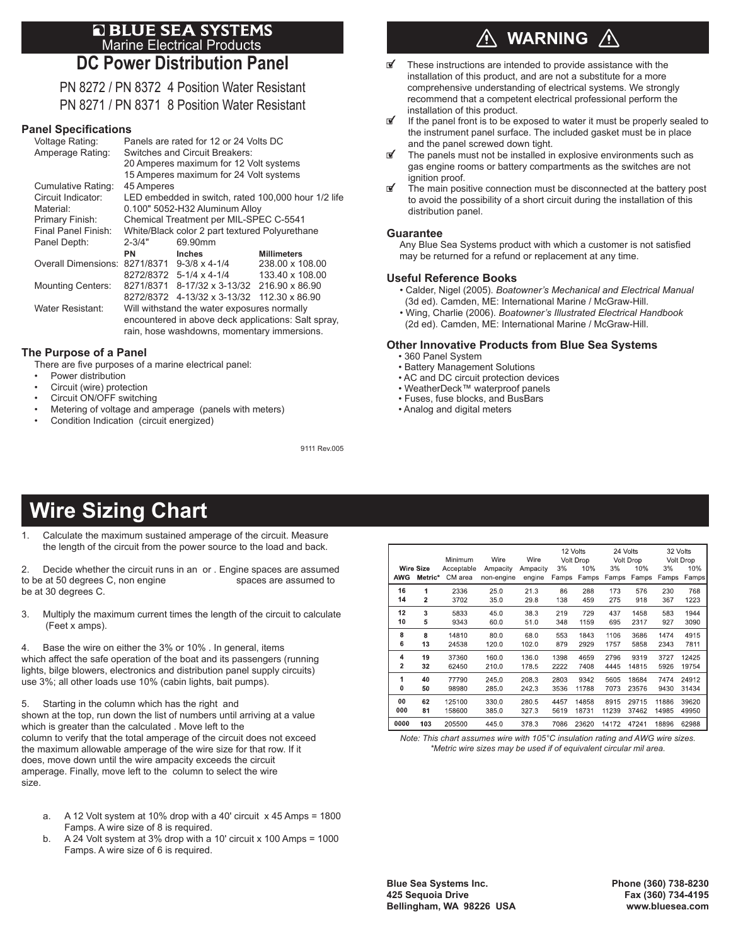# **E BLUE SEA SYSTEMS**<br>Marine Electrical Products **DC Power Distribution Panel**

PN 8272 / PN 8372 4 Position Water Resistant PN 8271 / PN 8371 8 Position Water Resistant

### **Panel Specifications**

| Voltage Rating:          |                                                                                                                                                                                   | Panels are rated for 12 or 24 Volts DC      |                    |  |  |  |  |
|--------------------------|-----------------------------------------------------------------------------------------------------------------------------------------------------------------------------------|---------------------------------------------|--------------------|--|--|--|--|
| Amperage Rating:         | Switches and Circuit Breakers:                                                                                                                                                    |                                             |                    |  |  |  |  |
|                          | 20 Amperes maximum for 12 Volt systems                                                                                                                                            |                                             |                    |  |  |  |  |
|                          | 15 Amperes maximum for 24 Volt systems                                                                                                                                            |                                             |                    |  |  |  |  |
| Cumulative Rating:       | 45 Amperes                                                                                                                                                                        |                                             |                    |  |  |  |  |
| Circuit Indicator:       | LED embedded in switch, rated 100,000 hour 1/2 life<br>0.100" 5052-H32 Aluminum Alloy<br>Chemical Treatment per MIL-SPEC C-5541<br>White/Black color 2 part textured Polyurethane |                                             |                    |  |  |  |  |
| Material:                |                                                                                                                                                                                   |                                             |                    |  |  |  |  |
| Primary Finish:          |                                                                                                                                                                                   |                                             |                    |  |  |  |  |
| Final Panel Finish:      |                                                                                                                                                                                   |                                             |                    |  |  |  |  |
| Panel Depth:             | $2 - 3/4"$                                                                                                                                                                        | 69.90mm                                     |                    |  |  |  |  |
|                          | PN                                                                                                                                                                                | <b>Inches</b>                               | <b>Millimeters</b> |  |  |  |  |
| Overall Dimensions:      |                                                                                                                                                                                   | 8271/8371 9-3/8 x 4-1/4                     | 238.00 x 108.00    |  |  |  |  |
|                          |                                                                                                                                                                                   | 8272/8372 5-1/4 x 4-1/4                     | 133.40 x 108.00    |  |  |  |  |
| <b>Mounting Centers:</b> | 8271/8371                                                                                                                                                                         | 8-17/32 x 3-13/32 216.90 x 86.90            |                    |  |  |  |  |
|                          | 8272/8372                                                                                                                                                                         | 4-13/32 x 3-13/32                           | 112.30 x 86.90     |  |  |  |  |
| <b>Water Resistant:</b>  |                                                                                                                                                                                   | Will withstand the water exposures normally |                    |  |  |  |  |
|                          | encountered in above deck applications: Salt spray,                                                                                                                               |                                             |                    |  |  |  |  |
|                          | rain, hose washdowns, momentary immersions.                                                                                                                                       |                                             |                    |  |  |  |  |

### **The Purpose of a Panel**

There are five purposes of a marine electrical panel:

- Power distribution
- Circuit (wire) protection
- Circuit ON/OFF switching
- Metering of voltage and amperage (panels with meters)
- Condition Indication (circuit energized)

9111 Rev.005

# **WARNING**

- These instructions are intended to provide assistance with the installation of this product, and are not a substitute for a more comprehensive understanding of electrical systems. We strongly recommend that a competent electrical professional perform the installation of this product.
- $I$  If the panel front is to be exposed to water it must be properly sealed to the instrument panel surface. The included gasket must be in place and the panel screwed down tight.
- The panels must not be installed in explosive environments such as gas engine rooms or battery compartments as the switches are not ignition proof.
- The main positive connection must be disconnected at the battery post to avoid the possibility of a short circuit during the installation of this distribution panel.

#### **Guarantee**

Any Blue Sea Systems product with which a customer is not satisfied may be returned for a refund or replacement at any time.

#### **Useful Reference Books**

- Calder, Nigel (2005). *Boatowner's Mechanical and Electrical Manual*
- (3d ed). Camden, ME: International Marine / McGraw-Hill.
- Wing, Charlie (2006). *Boatowner's Illustrated Electrical Handbook*  (2d ed). Camden, ME: International Marine / McGraw-Hill.

### **Other Innovative Products from Blue Sea Systems**

- 360 Panel System
- Battery Management Solutions
- AC and DC circuit protection devices
- WeatherDeck™ waterproof panels
- Fuses, fuse blocks, and BusBars
- Analog and digital meters

# **Wire Sizing Chart**

1. Calculate the maximum sustained amperage of the circuit. Measure the length of the circuit from the power source to the load and back.

2. Decide whether the circuit runs in an or . Engine spaces are assumed to be at 50 degrees C, non engine spaces are assumed to be at 30 degrees C.

3. Multiply the maximum current times the length of the circuit to calculate (Feet x amps).

4. Base the wire on either the 3% or 10% . In general, items which affect the safe operation of the boat and its passengers (running lights, bilge blowers, electronics and distribution panel supply circuits) use 3%; all other loads use 10% (cabin lights, bait pumps).

5. Starting in the column which has the right and shown at the top, run down the list of numbers until arriving at a value which is greater than the calculated . Move left to the column to verify that the total amperage of the circuit does not exceed the maximum allowable amperage of the wire size for that row. If it does, move down until the wire ampacity exceeds the circuit amperage. Finally, move left to the column to select the wire size.

- a. A 12 Volt system at 10% drop with a 40' circuit x 45 Amps = 1800 Famps. A wire size of 8 is required.
- b. A 24 Volt system at 3% drop with a 10' circuit x 100 Amps = 1000 Famps. A wire size of 6 is required.

| <b>AWG</b>     | <b>Wire Size</b><br>Metric* | Minimum<br>Acceptable<br>CM area | Wire<br>Ampacity<br>non-engine | Wire<br>Ampacity<br>engine | 3%<br>Famps | 12 Volts<br>Volt Drop<br>10%<br>Famps | 3%<br>Famps | 24 Volts<br>Volt Drop<br>10%<br>Famps | 32 Volts<br>3%<br>Famps | Volt Drop<br>10%<br>Famps |
|----------------|-----------------------------|----------------------------------|--------------------------------|----------------------------|-------------|---------------------------------------|-------------|---------------------------------------|-------------------------|---------------------------|
| 16             | 1                           | 2336                             | 25.0                           | 21.3                       | 86          | 288                                   | 173         | 576                                   | 230                     | 768                       |
| 14             | $\overline{2}$              | 3702                             | 35.0                           | 29.8                       | 138         | 459                                   | 275         | 918                                   | 367                     | 1223                      |
| 12             | 3                           | 5833                             | 45.0                           | 38.3                       | 219         | 729                                   | 437         | 1458                                  | 583                     | 1944                      |
| 10             | 5                           | 9343                             | 60.0                           | 51.0                       | 348         | 1159                                  | 695         | 2317                                  | 927                     | 3090                      |
| 8              | 8                           | 14810                            | 80.0                           | 68.0                       | 553         | 1843                                  | 1106        | 3686                                  | 1474                    | 4915                      |
| 6              | 13                          | 24538                            | 120.0                          | 102.0                      | 879         | 2929                                  | 1757        | 5858                                  | 2343                    | 7811                      |
| 4              | 19                          | 37360                            | 160.0                          | 136.0                      | 1398        | 4659                                  | 2796        | 9319                                  | 3727                    | 12425                     |
| $\overline{2}$ | 32                          | 62450                            | 210.0                          | 178.5                      | 2222        | 7408                                  | 4445        | 14815                                 | 5926                    | 19754                     |
| 1              | 40                          | 77790                            | 245.0                          | 208.3                      | 2803        | 9342                                  | 5605        | 18684                                 | 7474                    | 24912                     |
| 0              | 50                          | 98980                            | 285.0                          | 242.3                      | 3536        | 11788                                 | 7073        | 23576                                 | 9430                    | 31434                     |
| 00             | 62                          | 125100                           | 330.0                          | 280.5                      | 4457        | 14858                                 | 8915        | 29715                                 | 11886                   | 39620                     |
| 000            | 81                          | 158600                           | 385.0                          | 327.3                      | 5619        | 18731                                 | 11239       | 37462                                 | 14985                   | 49950                     |
| 0000           | 103                         | 205500                           | 445.0                          | 378.3                      | 7086        | 23620                                 | 14172       | 47241                                 | 18896                   |                           |

*Note: This chart assumes wire with 105°C insulation rating and AWG wire sizes. \*Metric wire sizes may be used if of equivalent circular mil area.*